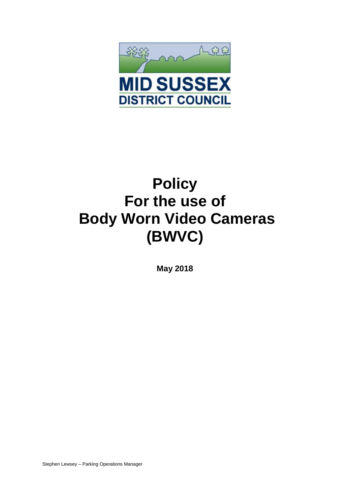

# **Policy For the use of Body Worn Video Cameras (BWVC)**

**May 2018**

Stephen Lewsey – Parking Operations Manager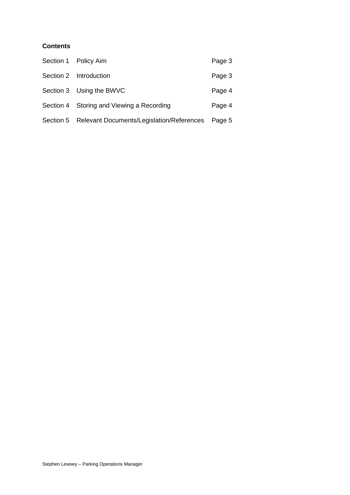## **Contents**

| Section 1 Policy Aim                                       | Page 3 |
|------------------------------------------------------------|--------|
| Section 2 Introduction                                     | Page 3 |
| Section 3 Using the BWVC                                   | Page 4 |
| Section 4 Storing and Viewing a Recording                  | Page 4 |
| Section 5 Relevant Documents/Legislation/References Page 5 |        |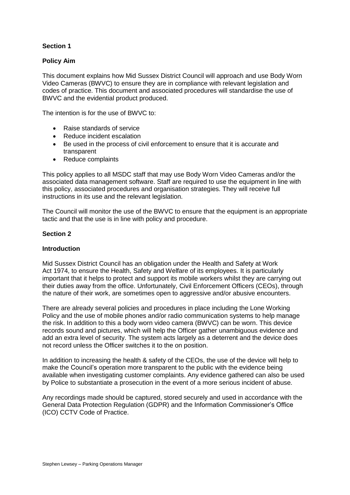## **Section 1**

## **Policy Aim**

This document explains how Mid Sussex District Council will approach and use Body Worn Video Cameras (BWVC) to ensure they are in compliance with relevant legislation and codes of practice. This document and associated procedures will standardise the use of BWVC and the evidential product produced.

The intention is for the use of BWVC to:

- Raise standards of service
- Reduce incident escalation
- Be used in the process of civil enforcement to ensure that it is accurate and transparent
- Reduce complaints

This policy applies to all MSDC staff that may use Body Worn Video Cameras and/or the associated data management software. Staff are required to use the equipment in line with this policy, associated procedures and organisation strategies. They will receive full instructions in its use and the relevant legislation.

The Council will monitor the use of the BWVC to ensure that the equipment is an appropriate tactic and that the use is in line with policy and procedure.

## **Section 2**

#### **Introduction**

Mid Sussex District Council has an obligation under the Health and Safety at Work Act 1974, to ensure the Health, Safety and Welfare of its employees. It is particularly important that it helps to protect and support its mobile workers whilst they are carrying out their duties away from the office. Unfortunately, Civil Enforcement Officers (CEOs), through the nature of their work, are sometimes open to aggressive and/or abusive encounters.

There are already several policies and procedures in place including the Lone Working Policy and the use of mobile phones and/or radio communication systems to help manage the risk. In addition to this a body worn video camera (BWVC) can be worn. This device records sound and pictures, which will help the Officer gather unambiguous evidence and add an extra level of security. The system acts largely as a deterrent and the device does not record unless the Officer switches it to the on position.

In addition to increasing the health & safety of the CEOs, the use of the device will help to make the Council's operation more transparent to the public with the evidence being available when investigating customer complaints. Any evidence gathered can also be used by Police to substantiate a prosecution in the event of a more serious incident of abuse.

Any recordings made should be captured, stored securely and used in accordance with the General Data Protection Regulation (GDPR) and the Information Commissioner's Office (ICO) CCTV Code of Practice.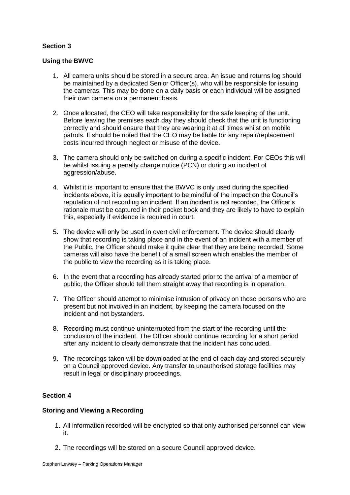## **Section 3**

## **Using the BWVC**

- 1. All camera units should be stored in a secure area. An issue and returns log should be maintained by a dedicated Senior Officer(s), who will be responsible for issuing the cameras. This may be done on a daily basis or each individual will be assigned their own camera on a permanent basis.
- 2. Once allocated, the CEO will take responsibility for the safe keeping of the unit. Before leaving the premises each day they should check that the unit is functioning correctly and should ensure that they are wearing it at all times whilst on mobile patrols. It should be noted that the CEO may be liable for any repair/replacement costs incurred through neglect or misuse of the device.
- 3. The camera should only be switched on during a specific incident. For CEOs this will be whilst issuing a penalty charge notice (PCN) or during an incident of aggression/abuse.
- 4. Whilst it is important to ensure that the BWVC is only used during the specified incidents above, it is equally important to be mindful of the impact on the Council's reputation of not recording an incident. If an incident is not recorded, the Officer's rationale must be captured in their pocket book and they are likely to have to explain this, especially if evidence is required in court.
- 5. The device will only be used in overt civil enforcement. The device should clearly show that recording is taking place and in the event of an incident with a member of the Public, the Officer should make it quite clear that they are being recorded. Some cameras will also have the benefit of a small screen which enables the member of the public to view the recording as it is taking place.
- 6. In the event that a recording has already started prior to the arrival of a member of public, the Officer should tell them straight away that recording is in operation.
- 7. The Officer should attempt to minimise intrusion of privacy on those persons who are present but not involved in an incident, by keeping the camera focused on the incident and not bystanders.
- 8. Recording must continue uninterrupted from the start of the recording until the conclusion of the incident. The Officer should continue recording for a short period after any incident to clearly demonstrate that the incident has concluded.
- 9. The recordings taken will be downloaded at the end of each day and stored securely on a Council approved device. Any transfer to unauthorised storage facilities may result in legal or disciplinary proceedings.

## **Section 4**

## **Storing and Viewing a Recording**

- 1. All information recorded will be encrypted so that only authorised personnel can view it.
- 2. The recordings will be stored on a secure Council approved device.